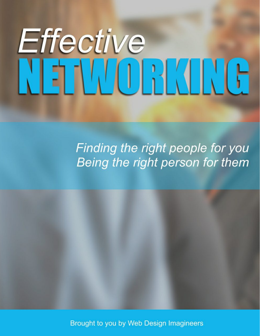# Effective<br>NETWORKUVG

Finding the right people for you Being the right person for them



Brought to you by Web Design Imagineers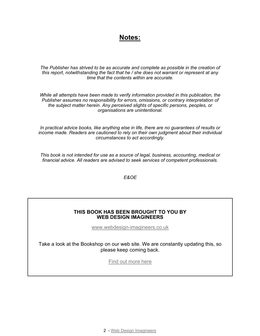## **Notes:**

*The Publisher has strived to be as accurate and complete as possible in the creation of this report, notwithstanding the fact that he / she does not warrant or represent at any time that the contents within are accurate.*

*While all attempts have been made to verify information provided in this publication, the Publisher assumes no responsibility for errors, omissions, or contrary interpretation of the subject matter herein. Any perceived slights of specific persons, peoples, or organisations are unintentional.*

*In practical advice books, like anything else in life, there are no guarantees of results or income made. Readers are cautioned to rely on their own judgment about their individual circumstances to act accordingly.*

*This book is not intended for use as a source of legal, business, accounting, medical or financial advice. All readers are advised to seek services of competent professionals.*

*E&OE*

#### **THIS BOOK HAS BEEN BROUGHT TO YOU BY WEB DESIGN IMAGINEERS**

[www.webdesign-imagineers.co.uk](http://www.webdesign-imagineers.co.uk)

Take a look at the Bookshop on our web site. We are constantly updating this, so please keep coming back.

[Find out more here](http://webdesign-imagineers.co.uk/digital-shop/)

2 - [Web Design Imagineers](http://webdesign-imagineers.co.uk)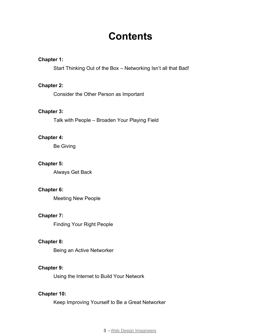## **Contents**

#### **Chapter 1:**

Start Thinking Out of the Box – Networking Isn't all that Bad!

#### **Chapter 2:**

Consider the Other Person as Important

#### **Chapter 3:**

Talk with People – Broaden Your Playing Field

#### **Chapter 4:**

Be Giving

#### **Chapter 5:**

Always Get Back

#### **Chapter 6:**

Meeting New People

#### **Chapter 7:**

Finding Your Right People

#### **Chapter 8:**

Being an Active Networker

#### **Chapter 9:**

Using the Internet to Build Your Network

#### **Chapter 10:**

Keep Improving Yourself to Be a Great Networker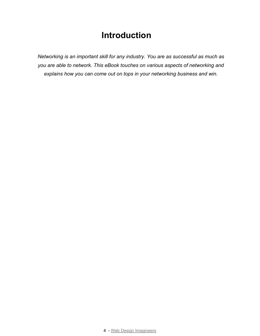## **Introduction**

*Networking is an important skill for any industry. You are as successful as much as you are able to network. This eBook touches on various aspects of networking and explains how you can come out on tops in your networking business and win.*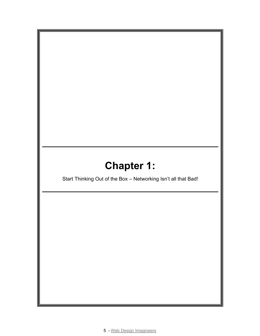# **Chapter 1:**

Start Thinking Out of the Box – Networking Isn't all that Bad!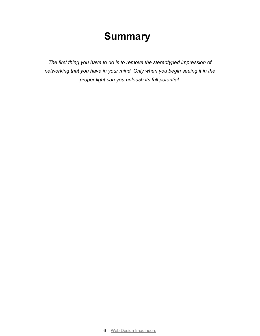*The first thing you have to do is to remove the stereotyped impression of networking that you have in your mind. Only when you begin seeing it in the proper light can you unleash its full potential.*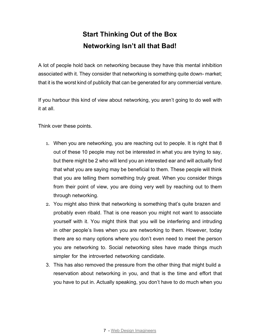## **Start Thinking Out of the Box Networking Isn't all that Bad!**

A lot of people hold back on networking because they have this mental inhibition associated with it. They consider that networking is something quite down- market; that it is the worst kind of publicity that can be generated for any commercial venture.

If you harbour this kind of view about networking, you aren't going to do well with it at all.

Think over these points.

- 1. When you are networking, you are reaching out to people. It is right that 8 out of these 10 people may not be interested in what you are trying to say, but there might be 2 who will lend you an interested ear and will actually find that what you are saying may be beneficial to them. These people will think that you are telling them something truly great. When you consider things from their point of view, you are doing very well by reaching out to them through networking.
- 2. You might also think that networking is something that's quite brazen and probably even ribald. That is one reason you might not want to associate yourself with it. You might think that you will be interfering and intruding in other people's lives when you are networking to them. However, today there are so many options where you don't even need to meet the person you are networking to. Social networking sites have made things much simpler for the introverted networking candidate.
- 3. This has also removed the pressure from the other thing that might build a reservation about networking in you, and that is the time and effort that you have to put in. Actually speaking, you don't have to do much when you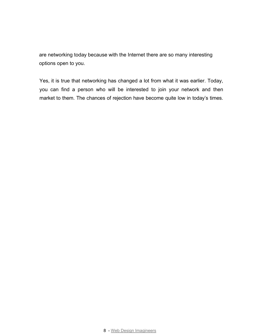are networking today because with the Internet there are so many interesting options open to you.

Yes, it is true that networking has changed a lot from what it was earlier. Today, you can find a person who will be interested to join your network and then market to them. The chances of rejection have become quite low in today's times.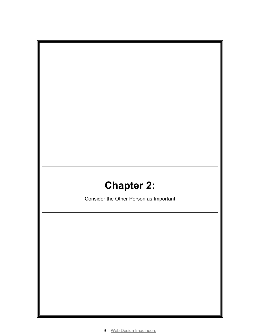# **Chapter 2:**

Consider the Other Person as Important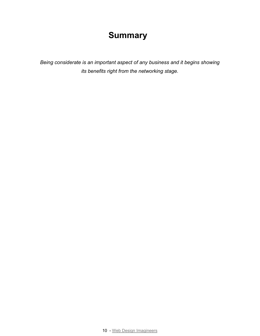*Being considerate is an important aspect of any business and it begins showing its benefits right from the networking stage.*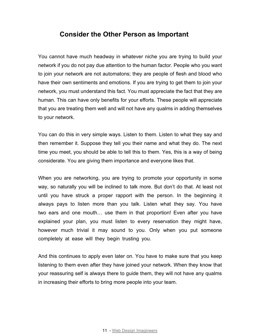#### **Consider the Other Person as Important**

You cannot have much headway in whatever niche you are trying to build your network if you do not pay due attention to the human factor. People who you want to join your network are not automatons; they are people of flesh and blood who have their own sentiments and emotions. If you are trying to get them to join your network, you must understand this fact. You must appreciate the fact that they are human. This can have only benefits for your efforts. These people will appreciate that you are treating them well and will not have any qualms in adding themselves to your network.

You can do this in very simple ways. Listen to them. Listen to what they say and then remember it. Suppose they tell you their name and what they do. The next time you meet, you should be able to tell this to them. Yes, this is a way of being considerate. You are giving them importance and everyone likes that.

When you are networking, you are trying to promote your opportunity in some way, so naturally you will be inclined to talk more. But don't do that. At least not until you have struck a proper rapport with the person. In the beginning it always pays to listen more than you talk. Listen what they say. You have two ears and one mouth… use them in that proportion! Even after you have explained your plan, you must listen to every reservation they might have, however much trivial it may sound to you. Only when you put someone completely at ease will they begin trusting you.

And this continues to apply even later on. You have to make sure that you keep listening to them even after they have joined your network. When they know that your reassuring self is always there to guide them, they will not have any qualms in increasing their efforts to bring more people into your team.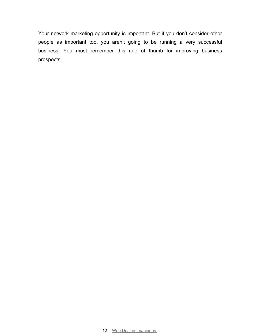Your network marketing opportunity is important. But if you don't consider other people as important too, you aren't going to be running a very successful business. You must remember this rule of thumb for improving business prospects.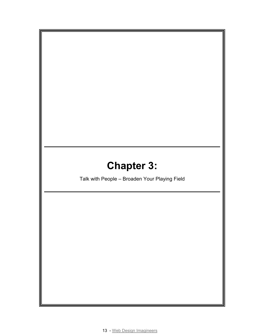# **Chapter 3:**

Talk with People – Broaden Your Playing Field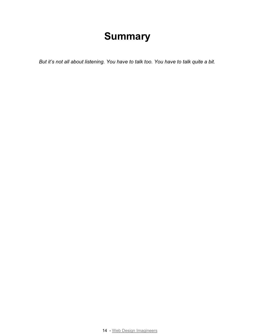*But it's not all about listening. You have to talk too. You have to talk quite a bit.*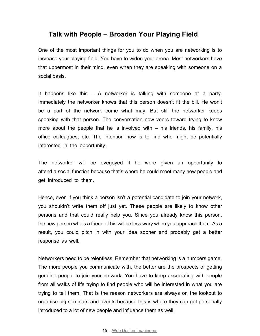## **Talk with People – Broaden Your Playing Field**

One of the most important things for you to do when you are networking is to increase your playing field. You have to widen your arena. Most networkers have that uppermost in their mind, even when they are speaking with someone on a social basis.

It happens like this – A networker is talking with someone at a party. Immediately the networker knows that this person doesn't fit the bill. He won't be a part of the network come what may. But still the networker keeps speaking with that person. The conversation now veers toward trying to know more about the people that he is involved with – his friends, his family, his office colleagues, etc. The intention now is to find who might be potentially interested in the opportunity.

The networker will be overjoyed if he were given an opportunity to attend a social function because that's where he could meet many new people and get introduced to them.

Hence, even if you think a person isn't a potential candidate to join your network, you shouldn't write them off just yet. These people are likely to know other persons and that could really help you. Since you already know this person, the new person who's a friend of his will be less wary when you approach them. As a result, you could pitch in with your idea sooner and probably get a better response as well.

Networkers need to be relentless. Remember that networking is a numbers game. The more people you communicate with, the better are the prospects of getting genuine people to join your network. You have to keep associating with people from all walks of life trying to find people who will be interested in what you are trying to tell them. That is the reason networkers are always on the lookout to organise big seminars and events because this is where they can get personally introduced to a lot of new people and influence them as well.

#### 15 - [Web Design Imagineers](http://webdesign-imagineers.co.uk)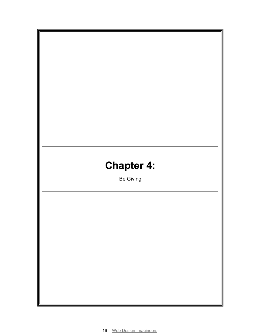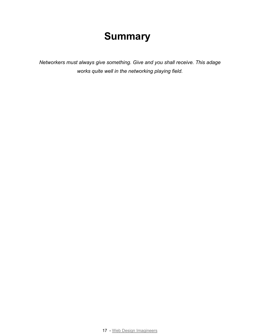*Networkers must always give something. Give and you shall receive. This adage works quite well in the networking playing field.*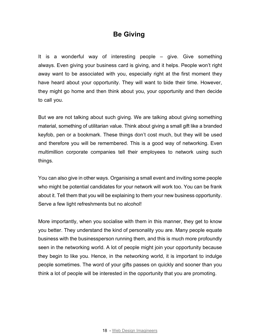## **Be Giving**

It is a wonderful way of interesting people – give. Give something always. Even giving your business card is giving, and it helps. People won't right away want to be associated with you, especially right at the first moment they have heard about your opportunity. They will want to bide their time. However, they might go home and then think about you, your opportunity and then decide to call you.

But we are not talking about such giving. We are talking about giving something material, something of utilitarian value. Think about giving a small gift like a branded keyfob, pen or a bookmark. These things don't cost much, but they will be used and therefore you will be remembered. This is a good way of networking. Even multimillion corporate companies tell their employees to network using such things.

You can also give in other ways. Organising a small event and inviting some people who might be potential candidates for your network will work too. You can be frank about it. Tell them that you will be explaining to them your new business opportunity. Serve a few light refreshments but no alcohol!

More importantly, when you socialise with them in this manner, they get to know you better. They understand the kind of personality you are. Many people equate business with the businessperson running them, and this is much more profoundly seen in the networking world. A lot of people might join your opportunity because they begin to like you. Hence, in the networking world, it is important to indulge people sometimes. The word of your gifts passes on quickly and sooner than you think a lot of people will be interested in the opportunity that you are promoting.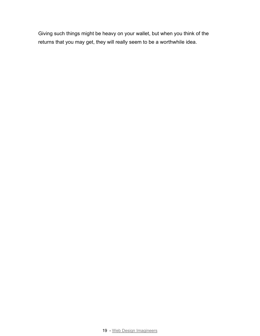Giving such things might be heavy on your wallet, but when you think of the returns that you may get, they will really seem to be a worthwhile idea.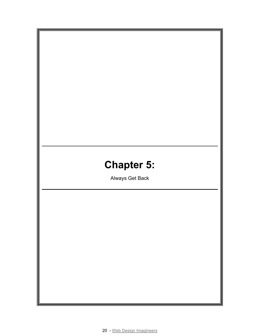# **Chapter 5:**

Always Get Back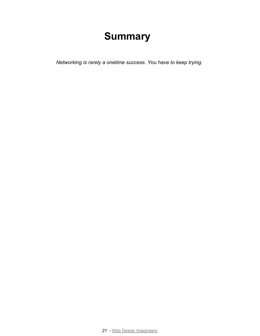*Networking is rarely a onetime success. You have to keep trying.*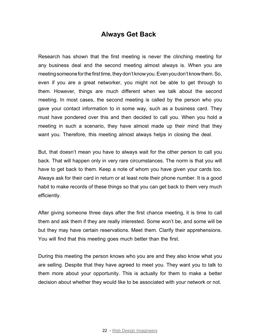## **Always Get Back**

Research has shown that the first meeting is never the clinching meeting for any business deal and the second meeting almost always is. When you are meeting someone for the first time, they don't know you. Even you don't know them. So, even if you are a great networker, you might not be able to get through to them. However, things are much different when we talk about the second meeting. In most cases, the second meeting is called by the person who you gave your contact information to in some way, such as a business card. They must have pondered over this and then decided to call you. When you hold a meeting in such a scenario, they have almost made up their mind that they want you. Therefore, this meeting almost always helps in closing the deal.

But, that doesn't mean you have to always wait for the other person to call you back. That will happen only in very rare circumstances. The norm is that you will have to get back to them. Keep a note of whom you have given your cards too. Always ask for their card in return or at least note their phone number. It is a good habit to make records of these things so that you can get back to them very much efficiently.

After giving someone three days after the first chance meeting, it is time to call them and ask them if they are really interested. Some won't be, and some will be but they may have certain reservations. Meet them. Clarify their apprehensions. You will find that this meeting goes much better than the first.

During this meeting the person knows who you are and they also know what you are selling. Despite that they have agreed to meet you. They want you to talk to them more about your opportunity. This is actually for them to make a better decision about whether they would like to be associated with your network or not.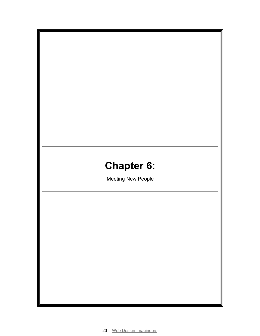# **Chapter 6:**

Meeting New People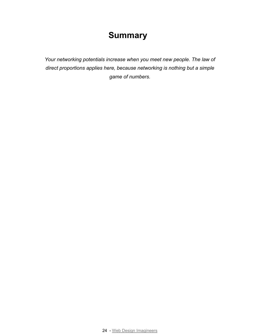*Your networking potentials increase when you meet new people. The law of direct proportions applies here, because networking is nothing but a simple game of numbers.*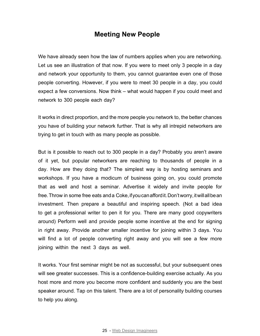#### **Meeting New People**

We have already seen how the law of numbers applies when you are networking. Let us see an illustration of that now. If you were to meet only 3 people in a day and network your opportunity to them, you cannot guarantee even one of those people converting. However, if you were to meet 30 people in a day, you could expect a few conversions. Now think – what would happen if you could meet and network to 300 people each day?

It works in direct proportion, and the more people you network to, the better chances you have of building your network further. That is why all intrepid networkers are trying to get in touch with as many people as possible.

But is it possible to reach out to 300 people in a day? Probably you aren't aware of it yet, but popular networkers are reaching to thousands of people in a day. How are they doing that? The simplest way is by hosting seminars and workshops. If you have a modicum of business going on, you could promote that as well and host a seminar. Advertise it widely and invite people for free. Throw in some free eats and a Coke, if you can afford it. Don't worry, it will all be an investment. Then prepare a beautiful and inspiring speech. (Not a bad idea to get a professional writer to pen it for you. There are many good copywriters around) Perform well and provide people some incentive at the end for signing in right away. Provide another smaller incentive for joining within 3 days. You will find a lot of people converting right away and you will see a few more joining within the next 3 days as well.

It works. Your first seminar might be not as successful, but your subsequent ones will see greater successes. This is a confidence-building exercise actually. As you host more and more you become more confident and suddenly you are the best speaker around. Tap on this talent. There are a lot of personality building courses to help you along.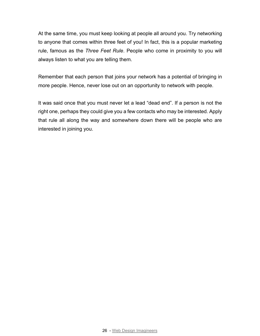At the same time, you must keep looking at people all around you. Try networking to anyone that comes within three feet of you! In fact, this is a popular marketing rule, famous as the *Three Feet Rule*. People who come in proximity to you will always listen to what you are telling them.

Remember that each person that joins your network has a potential of bringing in more people. Hence, never lose out on an opportunity to network with people.

It was said once that you must never let a lead "dead end". If a person is not the right one, perhaps they could give you a few contacts who may be interested. Apply that rule all along the way and somewhere down there will be people who are interested in joining you.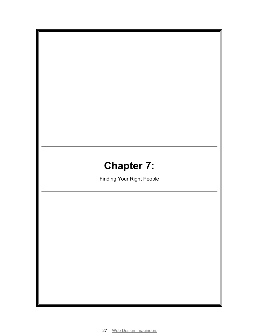# **Chapter 7:**

Finding Your Right People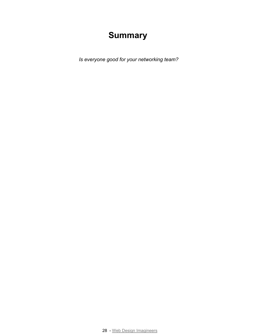*Is everyone good for your networking team?*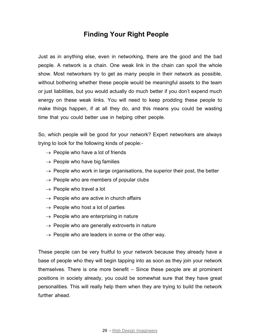## **Finding Your Right People**

Just as in anything else, even in networking, there are the good and the bad people. A network is a chain. One weak link in the chain can spoil the whole show. Most networkers try to get as many people in their network as possible, without bothering whether these people would be meaningful assets to the team or just liabilities, but you would actually do much better if you don't expend much energy on these weak links. You will need to keep prodding these people to make things happen, if at all they do, and this means you could be wasting time that you could better use in helping other people.

So, which people will be good for your network? Expert networkers are always trying to look for the following kinds of people:-

- $\rightarrow$  People who have a lot of friends
- $\rightarrow$  People who have big families
- $\rightarrow$  People who work in large organisations, the superior their post, the better
- $\rightarrow$  People who are members of popular clubs
- $\rightarrow$  People who travel a lot
- $\rightarrow$  People who are active in church affairs
- $\rightarrow$  People who host a lot of parties
- $\rightarrow$  People who are enterprising in nature
- $\rightarrow$  People who are generally extroverts in nature
- $\rightarrow$  People who are leaders in some or the other way.

These people can be very fruitful to your network because they already have a base of people who they will begin tapping into as soon as they join your network themselves. There is one more benefit – Since these people are at prominent positions in society already, you could be somewhat sure that they have great personalities. This will really help them when they are trying to build the network further ahead.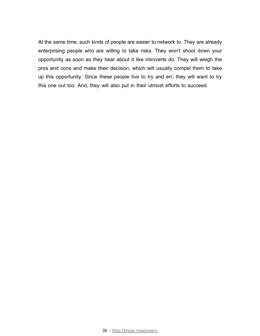At the same time, such kinds of people are easier to network to. They are already enterprising people who are willing to take risks. They won't shoot down your opportunity as soon as they hear about it like introverts do. They will weigh the pros and cons and make their decision, which will usually compel them to take up this opportunity. Since these people live to try and err, they will want to try this one out too. And, they will also put in their utmost efforts to succeed.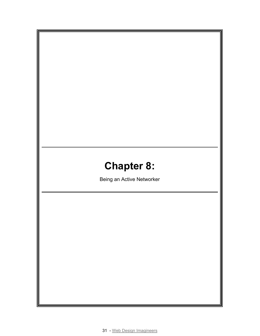# **Chapter 8:**

Being an Active Networker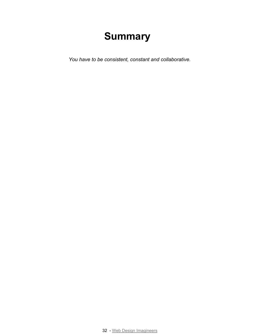*You have to be consistent, constant and collaborative.*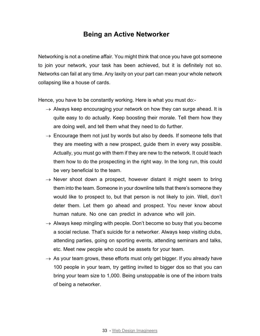#### **Being an Active Networker**

Networking is not a onetime affair. You might think that once you have got someone to join your network, your task has been achieved, but it is definitely not so. Networks can fail at any time. Any laxity on your part can mean your whole network collapsing like a house of cards.

Hence, you have to be constantly working. Here is what you must do:-

- $\rightarrow$  Always keep encouraging your network on how they can surge ahead. It is quite easy to do actually. Keep boosting their morale. Tell them how they are doing well, and tell them what they need to do further.
- $\rightarrow$  Encourage them not just by words but also by deeds. If someone tells that they are meeting with a new prospect, guide them in every way possible. Actually, you must go with them if they are new to the network. It could teach them how to do the prospecting in the right way. In the long run, this could be very beneficial to the team.
- $\rightarrow$  Never shoot down a prospect, however distant it might seem to bring them into the team. Someone in your downline tells that there's someone they would like to prospect to, but that person is not likely to join. Well, don't deter them. Let them go ahead and prospect. You never know about human nature. No one can predict in advance who will join.
- $\rightarrow$  Always keep mingling with people. Don't become so busy that you become a social recluse. That's suicide for a networker. Always keep visiting clubs, attending parties, going on sporting events, attending seminars and talks, etc. Meet new people who could be assets for your team.
- $\rightarrow$  As your team grows, these efforts must only get bigger. If you already have 100 people in your team, try getting invited to bigger dos so that you can bring your team size to 1,000. Being unstoppable is one of the inborn traits of being a networker.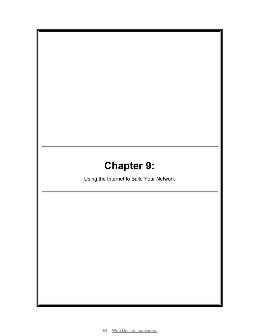# **Chapter 9:**

Using the Internet to Build Your Network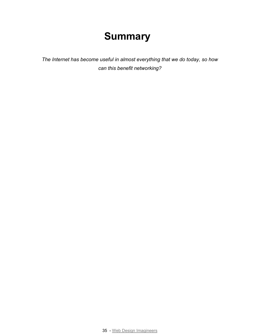*The Internet has become useful in almost everything that we do today, so how can this benefit networking?*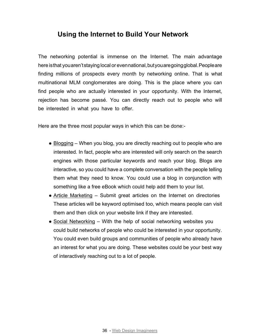## **Using the Internet to Build Your Network**

The networking potential is immense on the Internet. The main advantage here is that you aren't staying local or even national, but you are going global. People are finding millions of prospects every month by networking online. That is what multinational MLM conglomerates are doing. This is the place where you can find people who are actually interested in your opportunity. With the Internet, rejection has become passé. You can directly reach out to people who will be interested in what you have to offer.

Here are the three most popular ways in which this can be done:-

- Blogging When you blog, you are directly reaching out to people who are interested. In fact, people who are interested will only search on the search engines with those particular keywords and reach your blog. Blogs are interactive, so you could have a complete conversation with the people telling them what they need to know. You could use a blog in conjunction with something like a free eBook which could help add them to your list.
- Article Marketing Submit great articles on the Internet on directories These articles will be keyword optimised too, which means people can visit them and then click on your website link if they are interested.
- Social Networking With the help of social networking websites you could build networks of people who could be interested in your opportunity. You could even build groups and communities of people who already have an interest for what you are doing. These websites could be your best way of interactively reaching out to a lot of people.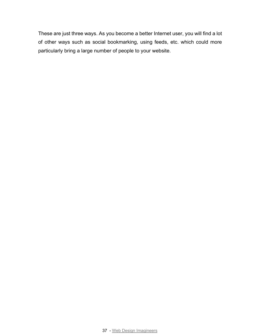These are just three ways. As you become a better Internet user, you will find a lot of other ways such as social bookmarking, using feeds, etc. which could more particularly bring a large number of people to your website.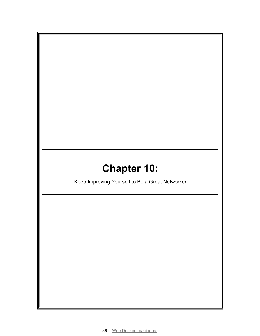# **Chapter 10:**

Keep Improving Yourself to Be a Great Networker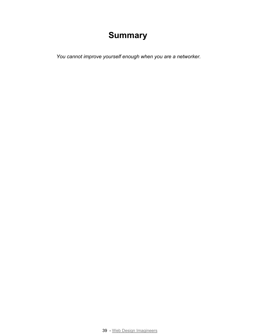*You cannot improve yourself enough when you are a networker.*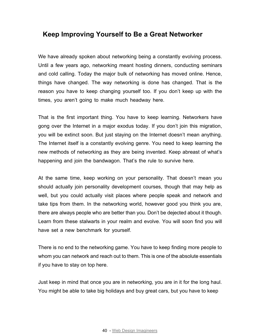## **Keep Improving Yourself to Be a Great Networker**

We have already spoken about networking being a constantly evolving process. Until a few years ago, networking meant hosting dinners, conducting seminars and cold calling. Today the major bulk of networking has moved online. Hence, things have changed. The way networking is done has changed. That is the reason you have to keep changing yourself too. If you don't keep up with the times, you aren't going to make much headway here.

That is the first important thing. You have to keep learning. Networkers have gong over the Internet in a major exodus today. If you don't join this migration, you will be extinct soon. But just staying on the Internet doesn't mean anything. The Internet itself is a constantly evolving genre. You need to keep learning the new methods of networking as they are being invented. Keep abreast of what's happening and join the bandwagon. That's the rule to survive here.

At the same time, keep working on your personality. That doesn't mean you should actually join personality development courses, though that may help as well, but you could actually visit places where people speak and network and take tips from them. In the networking world, however good you think you are, there are always people who are better than you. Don't be dejected about it though. Learn from these stalwarts in your realm and evolve. You will soon find you will have set a new benchmark for yourself.

There is no end to the networking game. You have to keep finding more people to whom you can network and reach out to them. This is one of the absolute essentials if you have to stay on top here.

Just keep in mind that once you are in networking, you are in it for the long haul. You might be able to take big holidays and buy great cars, but you have to keep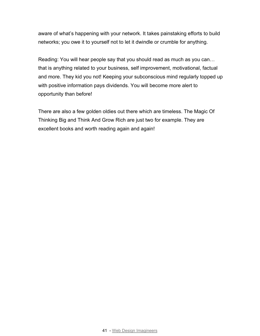aware of what's happening with your network. It takes painstaking efforts to build networks; you owe it to yourself not to let it dwindle or crumble for anything.

Reading: You will hear people say that you should read as much as you can… that is anything related to your business, self improvement, motivational, factual and more. They kid you not! Keeping your subconscious mind regularly topped up with positive information pays dividends. You will become more alert to opportunity than before!

There are also a few golden oldies out there which are timeless. The Magic Of Thinking Big and Think And Grow Rich are just two for example. They are excellent books and worth reading again and again!